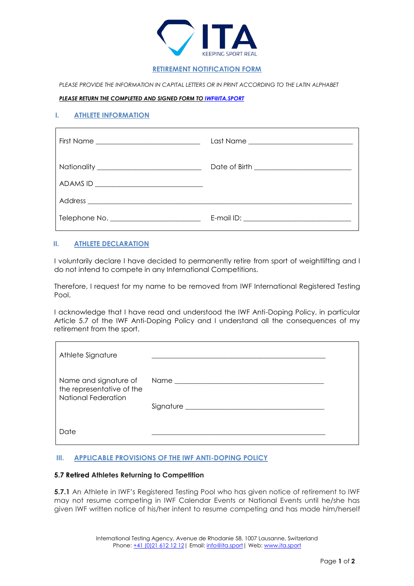

# **RETIREMENT NOTIFICATION FORM**

PLEASE PROVIDE THE INFORMATION IN CAPITAL LETTERS OR IN PRINT ACCORDING TO THE LATIN ALPHABET

#### *PLEASE RETURN THE COMPLETED AND SIGNED FORM T[O IWF@ITA.SPORT](mailto:IWF@ITA.SPORT)*

# **I. ATHLETE INFORMATION**

| ADAMS ID _________________________________ |  |
|--------------------------------------------|--|
|                                            |  |
|                                            |  |

### **II. ATHLETE DECLARATION**

I voluntarily declare I have decided to permanently retire from sport of weightlifting and I do not intend to compete in any International Competitions.

Therefore, I request for my name to be removed from IWF International Registered Testing Pool.

I acknowledge that I have read and understood the IWF Anti-Doping Policy, in particular Article 5.7 of the IWF Anti-Doping Policy and I understand all the consequences of my retirement from the sport.

| Athlete Signature                                |  |
|--------------------------------------------------|--|
| the representative of the<br>National Federation |  |
| Date                                             |  |

### **III. APPLICABLE PROVISIONS OF THE IWF ANTI-DOPING POLICY**

### **5.7 Retired Athletes Returning to Competition**

**5.7.1** An Athlete in IWF's Registered Testing Pool who has given notice of retirement to IWF may not resume competing in IWF Calendar Events or National Events until he/she has given IWF written notice of his/her intent to resume competing and has made him/herself

> International Testing Agency, Avenue de Rhodanie 58, 1007 Lausanne, Switzerland Phone: +41 (0)21 612 12 12 | Email: info@ita.sport | Web[: www.ita.sport](file:///C:/Users/ArunaabhShah/AppData/Local/Microsoft/Windows/INetCache/Content.Outlook/DGVG5X0I/www.ita.sport)